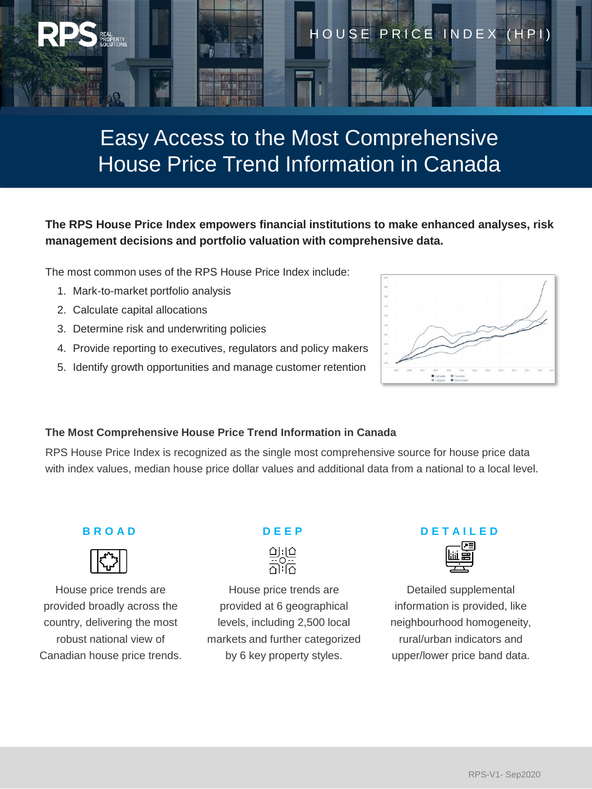

# Easy Access to the Most Comprehensive House Price Trend Information in Canada

## **The RPS House Price Index empowers financial institutions to make enhanced analyses, risk management decisions and portfolio valuation with comprehensive data.**

The most common uses of the RPS House Price Index include:

- 1. Mark-to-market portfolio analysis
- 2. Calculate capital allocations
- 3. Determine risk and underwriting policies
- 4. Provide reporting to executives, regulators and policy makers
- 5. Identify growth opportunities and manage customer retention



#### **The Most Comprehensive House Price Trend Information in Canada**

RPS House Price Index is recognized as the single most comprehensive source for house price data with index values, median house price dollar values and additional data from a national to a local level.

#### **B R O A D**



House price trends are provided broadly across the country, delivering the most robust national view of Canadian house price trends.

## **D E E P**



House price trends are provided at 6 geographical levels, including 2,500 local markets and further categorized by 6 key property styles.

## **D E T A I L E D**



Detailed supplemental information is provided, like neighbourhood homogeneity, rural/urban indicators and upper/lower price band data.